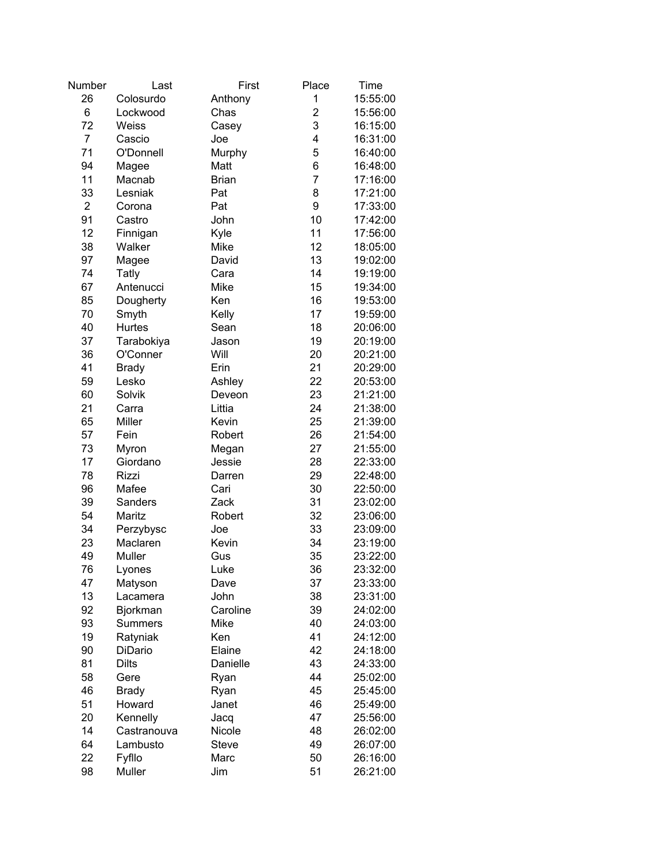| Number         | Last           | First        | Place          | Time     |
|----------------|----------------|--------------|----------------|----------|
| 26             | Colosurdo      | Anthony      | 1              | 15:55:00 |
| 6              | Lockwood       | Chas         | $\overline{2}$ | 15:56:00 |
| 72             | Weiss          | Casey        | 3              | 16:15:00 |
| $\overline{7}$ | Cascio         | Joe          | 4              | 16:31:00 |
| 71             | O'Donnell      | Murphy       | 5              | 16:40:00 |
| 94             | Magee          | Matt         | 6              | 16:48:00 |
| 11             | Macnab         | <b>Brian</b> | $\overline{7}$ | 17:16:00 |
| 33             | Lesniak        | Pat          | 8              | 17:21:00 |
| $\overline{2}$ |                |              | 9              |          |
|                | Corona         | Pat          |                | 17:33:00 |
| 91             | Castro         | John         | 10             | 17:42:00 |
| 12             | Finnigan       | Kyle         | 11             | 17:56:00 |
| 38             | Walker         | Mike         | 12             | 18:05:00 |
| 97             | Magee          | David        | 13             | 19:02:00 |
| 74             | Tatly          | Cara         | 14             | 19:19:00 |
| 67             | Antenucci      | Mike         | 15             | 19:34:00 |
| 85             | Dougherty      | Ken          | 16             | 19:53:00 |
| 70             | Smyth          | Kelly        | 17             | 19:59:00 |
| 40             | Hurtes         | Sean         | 18             | 20:06:00 |
| 37             | Tarabokiya     | Jason        | 19             | 20:19:00 |
| 36             | O'Conner       | Will         | 20             | 20:21:00 |
| 41             | <b>Brady</b>   | Erin         | 21             | 20:29:00 |
| 59             | Lesko          | Ashley       | 22             | 20:53:00 |
| 60             | Solvik         | Deveon       | 23             | 21:21:00 |
| 21             | Carra          | Littia       | 24             | 21:38:00 |
| 65             | Miller         | Kevin        | 25             | 21:39:00 |
| 57             | Fein           | Robert       | 26             | 21:54:00 |
| 73             | Myron          | Megan        | 27             | 21:55:00 |
| 17             | Giordano       | Jessie       | 28             | 22:33:00 |
| 78             | <b>Rizzi</b>   | Darren       | 29             | 22:48:00 |
| 96             | Mafee          | Cari         | 30             | 22:50:00 |
| 39             | Sanders        | Zack         | 31             | 23:02:00 |
| 54             | Maritz         | Robert       | 32             | 23:06:00 |
|                |                |              |                |          |
| 34             | Perzybysc      | Joe          | 33             | 23:09:00 |
| 23             | Maclaren       | Kevin        | 34             | 23:19:00 |
| 49             | Muller         | Gus          | 35             | 23:22:00 |
| 76             | Lyones         | Luke         | 36             | 23:32:00 |
| 47             | Matyson        | Dave         | 37             | 23:33:00 |
| 13             | Lacamera       | John         | 38             | 23:31:00 |
| 92             | Bjorkman       | Caroline     | 39             | 24:02:00 |
| 93             | <b>Summers</b> | Mike         | 40             | 24:03:00 |
| 19             | Ratyniak       | Ken          | 41             | 24:12:00 |
| 90             | DiDario        | Elaine       | 42             | 24:18:00 |
| 81             | <b>Dilts</b>   | Danielle     | 43             | 24:33:00 |
| 58             | Gere           | Ryan         | 44             | 25:02:00 |
| 46             | <b>Brady</b>   | Ryan         | 45             | 25:45:00 |
| 51             | Howard         | Janet        | 46             | 25:49:00 |
| 20             | Kennelly       | Jacq         | 47             | 25:56:00 |
| 14             | Castranouva    | Nicole       | 48             | 26:02:00 |
| 64             | Lambusto       | <b>Steve</b> | 49             | 26:07:00 |
| 22             | Fyfllo         | Marc         | 50             | 26:16:00 |
| 98             | Muller         | Jim          | 51             | 26:21:00 |
|                |                |              |                |          |